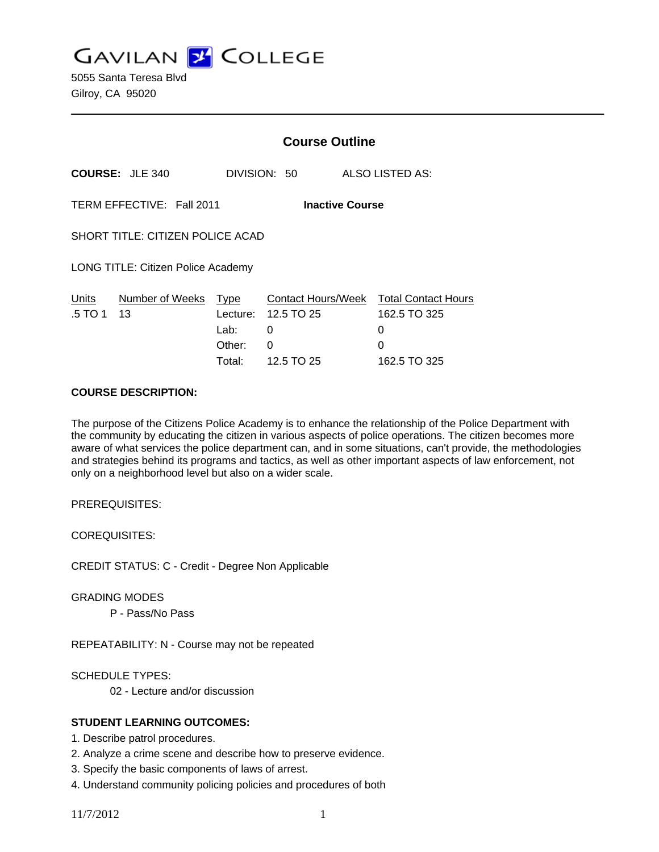**GAVILAN J COLLEGE** 

5055 Santa Teresa Blvd Gilroy, CA 95020

|                                                     |                      | <b>Course Outline</b>                |                                           |  |                                                                                  |
|-----------------------------------------------------|----------------------|--------------------------------------|-------------------------------------------|--|----------------------------------------------------------------------------------|
| <b>COURSE: JLE 340</b>                              |                      |                                      | DIVISION: 50                              |  | ALSO LISTED AS:                                                                  |
| TERM EFFECTIVE: Fall 2011<br><b>Inactive Course</b> |                      |                                      |                                           |  |                                                                                  |
| SHORT TITLE: CITIZEN POLICE ACAD                    |                      |                                      |                                           |  |                                                                                  |
| LONG TITLE: Citizen Police Academy                  |                      |                                      |                                           |  |                                                                                  |
| Units<br>.5 TO 1<br>13                              | Number of Weeks Type | Lecture:<br>Lab:<br>Other:<br>Total: | 12.5 TO 25<br>0<br>$\Omega$<br>12.5 TO 25 |  | Contact Hours/Week Total Contact Hours<br>162.5 TO 325<br>0<br>0<br>162.5 TO 325 |

#### **COURSE DESCRIPTION:**

The purpose of the Citizens Police Academy is to enhance the relationship of the Police Department with the community by educating the citizen in various aspects of police operations. The citizen becomes more aware of what services the police department can, and in some situations, can't provide, the methodologies and strategies behind its programs and tactics, as well as other important aspects of law enforcement, not only on a neighborhood level but also on a wider scale.

PREREQUISITES:

COREQUISITES:

CREDIT STATUS: C - Credit - Degree Non Applicable

GRADING MODES

P - Pass/No Pass

REPEATABILITY: N - Course may not be repeated

SCHEDULE TYPES:

02 - Lecture and/or discussion

#### **STUDENT LEARNING OUTCOMES:**

- 1. Describe patrol procedures.
- 2. Analyze a crime scene and describe how to preserve evidence.
- 3. Specify the basic components of laws of arrest.
- 4. Understand community policing policies and procedures of both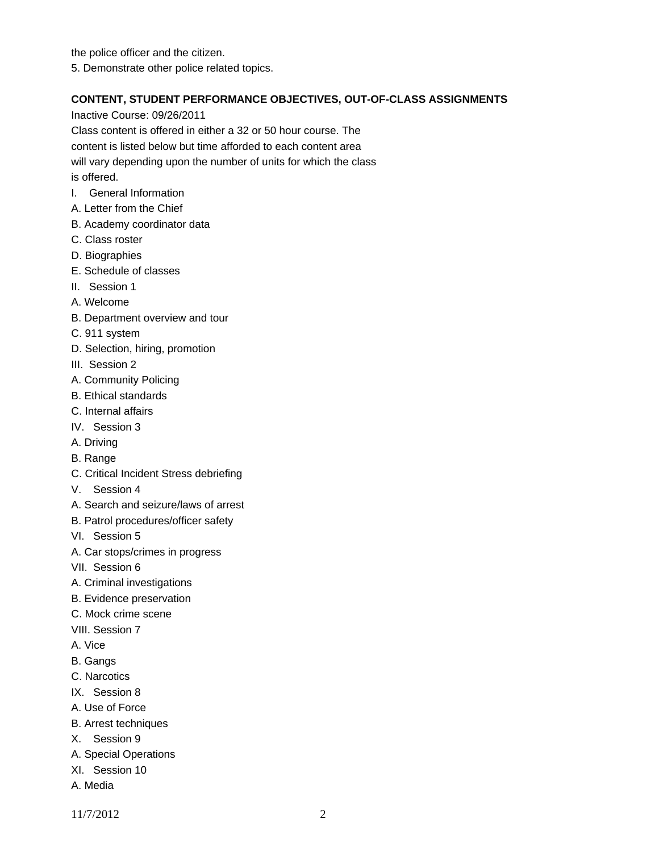the police officer and the citizen. 5. Demonstrate other police related topics.

### **CONTENT, STUDENT PERFORMANCE OBJECTIVES, OUT-OF-CLASS ASSIGNMENTS**

Inactive Course: 09/26/2011

Class content is offered in either a 32 or 50 hour course. The

content is listed below but time afforded to each content area

will vary depending upon the number of units for which the class

is offered.

- I. General Information
- A. Letter from the Chief
- B. Academy coordinator data
- C. Class roster
- D. Biographies
- E. Schedule of classes
- II. Session 1
- A. Welcome
- B. Department overview and tour
- C. 911 system
- D. Selection, hiring, promotion
- III. Session 2
- A. Community Policing
- B. Ethical standards
- C. Internal affairs
- IV. Session 3
- A. Driving
- B. Range
- C. Critical Incident Stress debriefing
- V. Session 4
- A. Search and seizure/laws of arrest
- B. Patrol procedures/officer safety
- VI. Session 5
- A. Car stops/crimes in progress
- VII. Session 6
- A. Criminal investigations
- B. Evidence preservation
- C. Mock crime scene
- VIII. Session 7
- A. Vice
- B. Gangs
- C. Narcotics
- IX. Session 8
- A. Use of Force
- B. Arrest techniques
- X. Session 9
- A. Special Operations
- XI. Session 10
- A. Media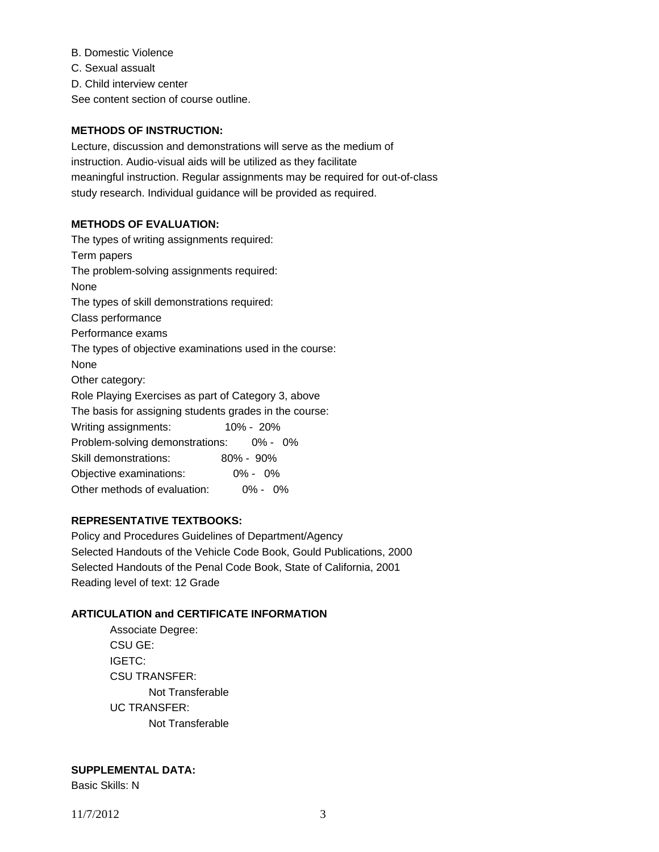B. Domestic Violence

C. Sexual assualt

D. Child interview center

See content section of course outline.

## **METHODS OF INSTRUCTION:**

Lecture, discussion and demonstrations will serve as the medium of instruction. Audio-visual aids will be utilized as they facilitate meaningful instruction. Regular assignments may be required for out-of-class study research. Individual guidance will be provided as required.

### **METHODS OF EVALUATION:**

The types of writing assignments required: Term papers The problem-solving assignments required: None The types of skill demonstrations required: Class performance Performance exams The types of objective examinations used in the course: None Other category: Role Playing Exercises as part of Category 3, above The basis for assigning students grades in the course: Writing assignments: 10% - 20% Problem-solving demonstrations: 0% - 0% Skill demonstrations: 80% - 90% Objective examinations: 0% - 0% Other methods of evaluation: 0% - 0%

# **REPRESENTATIVE TEXTBOOKS:**

Policy and Procedures Guidelines of Department/Agency Selected Handouts of the Vehicle Code Book, Gould Publications, 2000 Selected Handouts of the Penal Code Book, State of California, 2001 Reading level of text: 12 Grade

#### **ARTICULATION and CERTIFICATE INFORMATION**

 Associate Degree: CSU GE: IGETC: CSU TRANSFER: Not Transferable UC TRANSFER: Not Transferable

# **SUPPLEMENTAL DATA:**

Basic Skills: N